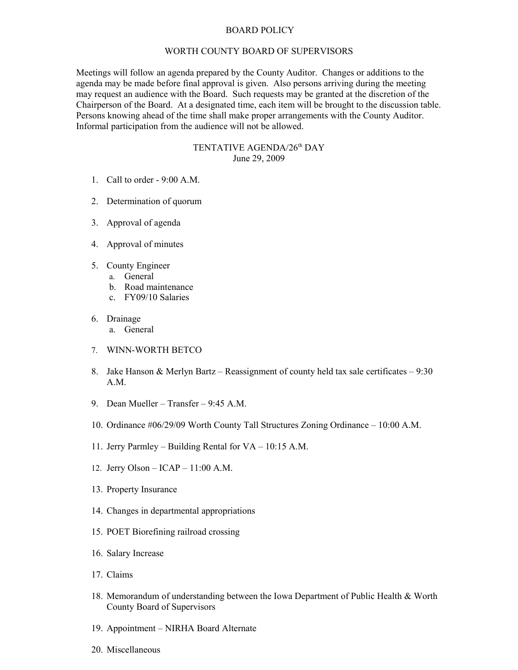## BOARD POLICY

## WORTH COUNTY BOARD OF SUPERVISORS

Meetings will follow an agenda prepared by the County Auditor. Changes or additions to the agenda may be made before final approval is given. Also persons arriving during the meeting may request an audience with the Board. Such requests may be granted at the discretion of the Chairperson of the Board. At a designated time, each item will be brought to the discussion table. Persons knowing ahead of the time shall make proper arrangements with the County Auditor. Informal participation from the audience will not be allowed.

## TENTATIVE AGENDA/26th DAY June 29, 2009

- 1. Call to order 9:00 A.M.
- 2. Determination of quorum
- 3. Approval of agenda
- 4. Approval of minutes
- 5. County Engineer
	- a. General
	- b. Road maintenance
	- c. FY09/10 Salaries
- 6. Drainage
	- a. General
- 7. WINN-WORTH BETCO
- 8. Jake Hanson & Merlyn Bartz Reassignment of county held tax sale certificates 9:30 A.M.
- 9. Dean Mueller Transfer 9:45 A.M.
- 10. Ordinance #06/29/09 Worth County Tall Structures Zoning Ordinance 10:00 A.M.
- 11. Jerry Parmley Building Rental for VA 10:15 A.M.
- 12. Jerry Olson ICAP 11:00 A.M.
- 13. Property Insurance
- 14. Changes in departmental appropriations
- 15. POET Biorefining railroad crossing
- 16. Salary Increase
- 17. Claims
- 18. Memorandum of understanding between the Iowa Department of Public Health & Worth County Board of Supervisors
- 19. Appointment NIRHA Board Alternate
- 20. Miscellaneous